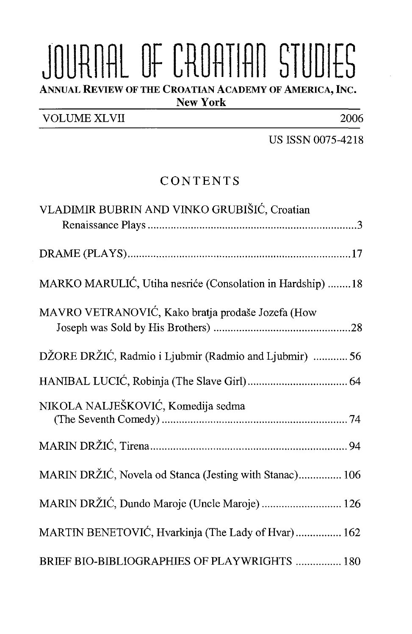## JOURNAL OF CROATIAN STUDIES ANNUAL REVIEW OF THE CROATIAN ACADEMY OF AMERICA, INC.

New York

VOLUME XLVII 2006

US ISSN 0075-4218

## CONTENTS

| VLADIMIR BUBRIN AND VINKO GRUBIŠIĆ, Croatian               |
|------------------------------------------------------------|
|                                                            |
|                                                            |
| MARKO MARULIĆ, Utiha nesriće (Consolation in Hardship)  18 |
| MAVRO VETRANOVIĆ, Kako bratja prodaše Jozefa (How          |
| DŽORE DRŽIĆ, Radmio i Ljubmir (Radmio and Ljubmir)  56     |
|                                                            |
| NIKOLA NALJEŠKOVIĆ, Komedija sedma                         |
|                                                            |
| MARIN DRŽIĆ, Novela od Stanca (Jesting with Stanac) 106    |
| MARIN DRŽIĆ, Dundo Maroje (Uncle Maroje)  126              |
| MARTIN BENETOVIĆ, Hvarkinja (The Lady of Hvar) 162         |
| BRIEF BIO-BIBLIOGRAPHIES OF PLAYWRIGHTS  180               |